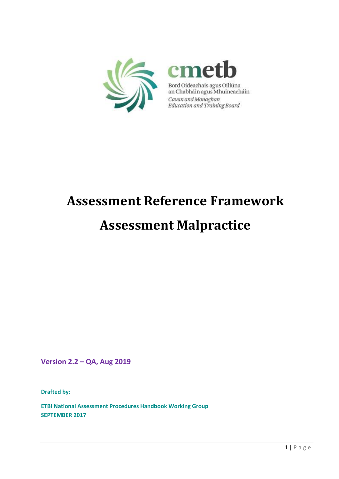



Bord Oideachais agus Oiliúna<br>an Chabháin agus Mhuineacháin Cavan and Monaghan<br>Education and Training Board

# **Assessment Reference Framework**

## **Assessment Malpractice**

**Version 2.2 – QA, Aug 2019**

**Drafted by:** 

**ETBI National Assessment Procedures Handbook Working Group SEPTEMBER 2017**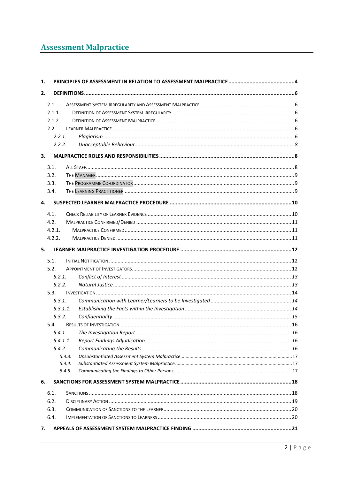### **Assessment Malpractice**

| 1.       |        |  |  |  |
|----------|--------|--|--|--|
| 2.       |        |  |  |  |
| 2.1.     |        |  |  |  |
| 2.1.1.   |        |  |  |  |
| 2.1.2.   |        |  |  |  |
| 2.2.     |        |  |  |  |
| 2.2.1.   |        |  |  |  |
| 2.2.2.   |        |  |  |  |
| 3.       |        |  |  |  |
| 3.1.     |        |  |  |  |
| 3.2.     |        |  |  |  |
| 3.3.     |        |  |  |  |
| 3.4.     |        |  |  |  |
|          |        |  |  |  |
| 4.       |        |  |  |  |
| 4.1.     |        |  |  |  |
| 4.2.     |        |  |  |  |
| 4.2.1.   |        |  |  |  |
| 4.2.2.   |        |  |  |  |
| 5.       |        |  |  |  |
| 5.1.     |        |  |  |  |
| 5.2.     |        |  |  |  |
| 5.2.1.   |        |  |  |  |
| 5.2.2.   |        |  |  |  |
| 5.3.     |        |  |  |  |
| 5.3.1.   |        |  |  |  |
| 5.3.1.1. |        |  |  |  |
| 5.3.2.   |        |  |  |  |
| 5.4.     |        |  |  |  |
|          |        |  |  |  |
| 5.4.1.1  |        |  |  |  |
| 5.4.2.   |        |  |  |  |
|          | 5.4.3. |  |  |  |
|          | 5.4.4. |  |  |  |
|          | 5.4.5. |  |  |  |
| 6.       |        |  |  |  |
| 6.1.     |        |  |  |  |
| 6.2.     |        |  |  |  |
| 6.3.     |        |  |  |  |
| 6.4.     |        |  |  |  |
| 7.       |        |  |  |  |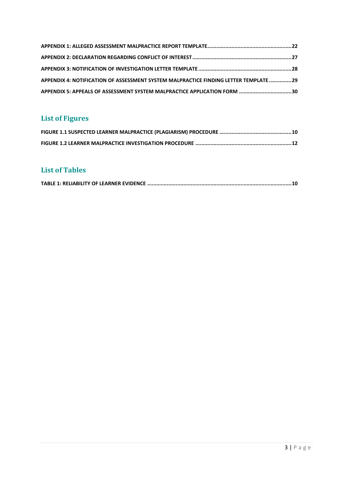| APPENDIX 4: NOTIFICATION OF ASSESSMENT SYSTEM MALPRACTICE FINDING LETTER TEMPLATE 29 |  |
|--------------------------------------------------------------------------------------|--|
| APPENDIX 5: APPEALS OF ASSESSMENT SYSTEM MALPRACTICE APPLICATION FORM 30             |  |

### **List of Figures**

### **List of Tables**

|--|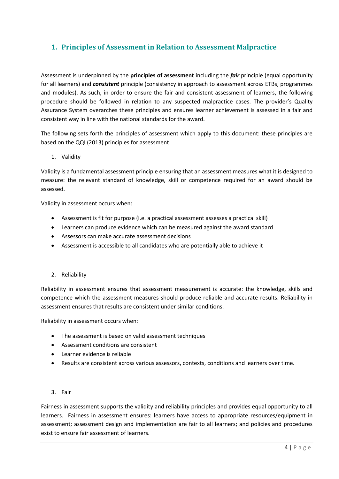### <span id="page-3-0"></span>**1. Principles of Assessment in Relation to Assessment Malpractice**

Assessment is underpinned by the **principles of assessment** including the *fair* principle (equal opportunity for all learners) and *consistent* principle (consistency in approach to assessment across ETBs, programmes and modules). As such, in order to ensure the fair and consistent assessment of learners, the following procedure should be followed in relation to any suspected malpractice cases. The provider's Quality Assurance System overarches these principles and ensures learner achievement is assessed in a fair and consistent way in line with the national standards for the award.

The following sets forth the principles of assessment which apply to this document: these principles are based on the QQI (2013) principles for assessment.

1. Validity

Validity is a fundamental assessment principle ensuring that an assessment measures what it is designed to measure: the relevant standard of knowledge, skill or competence required for an award should be assessed.

Validity in assessment occurs when:

- Assessment is fit for purpose (i.e. a practical assessment assesses a practical skill)
- Learners can produce evidence which can be measured against the award standard
- Assessors can make accurate assessment decisions
- Assessment is accessible to all candidates who are potentially able to achieve it

#### 2. Reliability

Reliability in assessment ensures that assessment measurement is accurate: the knowledge, skills and competence which the assessment measures should produce reliable and accurate results. Reliability in assessment ensures that results are consistent under similar conditions.

Reliability in assessment occurs when:

- The assessment is based on valid assessment techniques
- Assessment conditions are consistent
- Learner evidence is reliable
- Results are consistent across various assessors, contexts, conditions and learners over time.

#### 3. Fair

Fairness in assessment supports the validity and reliability principles and provides equal opportunity to all learners. Fairness in assessment ensures: learners have access to appropriate resources/equipment in assessment; assessment design and implementation are fair to all learners; and policies and procedures exist to ensure fair assessment of learners.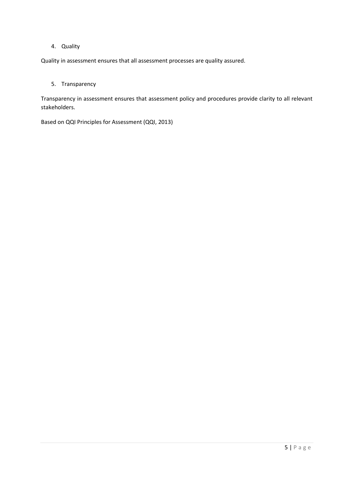#### 4. Quality

Quality in assessment ensures that all assessment processes are quality assured.

#### 5. Transparency

Transparency in assessment ensures that assessment policy and procedures provide clarity to all relevant stakeholders.

Based on QQI Principles for Assessment (QQI, 2013)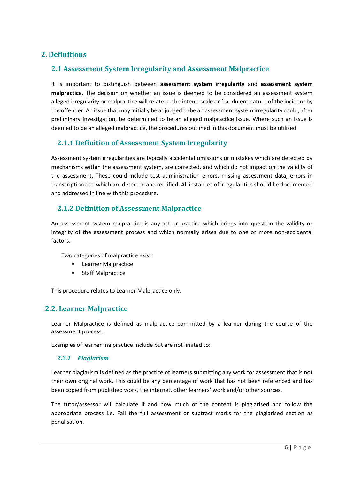### <span id="page-5-0"></span>**2. Definitions**

### <span id="page-5-1"></span>**2.1 Assessment System Irregularity and Assessment Malpractice**

It is important to distinguish between **assessment system irregularity** and **assessment system malpractice**. The decision on whether an issue is deemed to be considered an assessment system alleged irregularity or malpractice will relate to the intent, scale or fraudulent nature of the incident by the offender. An issue that may initially be adjudged to be an assessment system irregularity could, after preliminary investigation, be determined to be an alleged malpractice issue. Where such an issue is deemed to be an alleged malpractice, the procedures outlined in this document must be utilised.

### <span id="page-5-2"></span>**2.1.1 Definition of Assessment System Irregularity**

Assessment system irregularities are typically accidental omissions or mistakes which are detected by mechanisms within the assessment system, are corrected, and which do not impact on the validity of the assessment. These could include test administration errors, missing assessment data, errors in transcription etc. which are detected and rectified. All instances of irregularities should be documented and addressed in line with this procedure.

### <span id="page-5-3"></span>**2.1.2 Definition of Assessment Malpractice**

An assessment system malpractice is any act or practice which brings into question the validity or integrity of the assessment process and which normally arises due to one or more non-accidental factors.

Two categories of malpractice exist:

- **Learner Malpractice**
- Staff Malpractice

This procedure relates to Learner Malpractice only.

#### <span id="page-5-4"></span>**2.2. Learner Malpractice**

Learner Malpractice is defined as malpractice committed by a learner during the course of the assessment process.

<span id="page-5-5"></span>Examples of learner malpractice include but are not limited to:

#### *2.2.1 Plagiarism*

Learner plagiarism is defined as the practice of learners submitting any work for assessment that is not their own original work. This could be any percentage of work that has not been referenced and has been copied from published work, the internet, other learners' work and/or other sources.

The tutor/assessor will calculate if and how much of the content is plagiarised and follow the appropriate process i.e. Fail the full assessment or subtract marks for the plagiarised section as penalisation.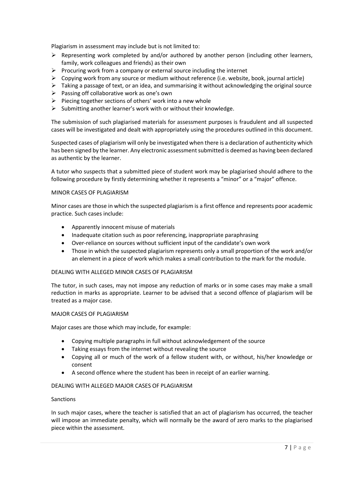Plagiarism in assessment may include but is not limited to:

- $\triangleright$  Representing work completed by and/or authored by another person (including other learners, family, work colleagues and friends) as their own
- $\triangleright$  Procuring work from a company or external source including the internet
- $\triangleright$  Copying work from any source or medium without reference (i.e. website, book, journal article)
- ➢ Taking a passage of text, or an idea, and summarising it without acknowledging the original source
- $\triangleright$  Passing off collaborative work as one's own
- $\triangleright$  Piecing together sections of others' work into a new whole
- $\triangleright$  Submitting another learner's work with or without their knowledge.

The submission of such plagiarised materials for assessment purposes is fraudulent and all suspected cases will be investigated and dealt with appropriately using the procedures outlined in this document.

Suspected cases of plagiarism will only be investigated when there is a declaration of authenticity which has been signed by the learner. Any electronic assessment submitted is deemed as having been declared as authentic by the learner.

A tutor who suspects that a submitted piece of student work may be plagiarised should adhere to the following procedure by firstly determining whether it represents a "minor" or a "major" offence.

#### MINOR CASES OF PLAGIARISM

Minor cases are those in which the suspected plagiarism is a first offence and represents poor academic practice. Such cases include:

- Apparently innocent misuse of materials
- Inadequate citation such as poor referencing, inappropriate paraphrasing
- Over-reliance on sources without sufficient input of the candidate's own work
- Those in which the suspected plagiarism represents only a small proportion of the work and/or an element in a piece of work which makes a small contribution to the mark for the module.

#### DEALING WITH ALLEGED MINOR CASES OF PLAGIARISM

The tutor, in such cases, may not impose any reduction of marks or in some cases may make a small reduction in marks as appropriate. Learner to be advised that a second offence of plagiarism will be treated as a major case.

#### MAJOR CASES OF PLAGIARISM

Major cases are those which may include, for example:

- Copying multiple paragraphs in full without acknowledgement of the source
- Taking essays from the internet without revealing the source
- Copying all or much of the work of a fellow student with, or without, his/her knowledge or consent
- A second offence where the student has been in receipt of an earlier warning.

#### DEALING WITH ALLEGED MAJOR CASES OF PLAGIARISM

#### Sanctions

In such major cases, where the teacher is satisfied that an act of plagiarism has occurred, the teacher will impose an immediate penalty, which will normally be the award of zero marks to the plagiarised piece within the assessment.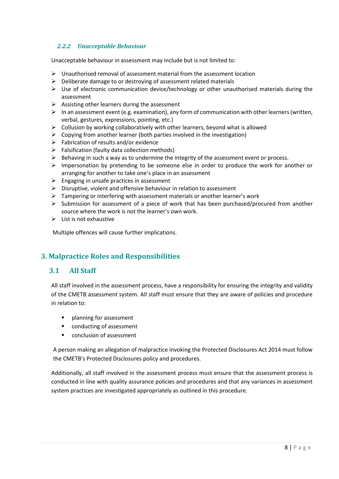### <span id="page-7-0"></span>*2.2.2 Unacceptable Behaviour*

Unacceptable behaviour in assessment may include but is not limited to:

- $\triangleright$  Unauthorised removal of assessment material from the assessment location
- $\triangleright$  Deliberate damage to or destroying of assessment related materials
- $\triangleright$  Use of electronic communication device/technology or other unauthorised materials during the assessment
- $\triangleright$  Assisting other learners during the assessment
- $\triangleright$  In an assessment event (e.g. examination), any form of communication with other learners (written, verbal, gestures, expressions, pointing, etc.)
- $\triangleright$  Collusion by working collaboratively with other learners, beyond what is allowed
- $\triangleright$  Copying from another learner (both parties involved in the investigation)
- $\triangleright$  Fabrication of results and/or evidence
- $\triangleright$  Falsification (faulty data collection methods)
- $\triangleright$  Behaving in such a way as to undermine the integrity of the assessment event or process.
- $\triangleright$  Impersonation by pretending to be someone else in order to produce the work for another or arranging for another to take one's place in an assessment
- ➢ Engaging in unsafe practices in assessment
- ➢ Disruptive, violent and offensive behaviour in relation to assessment
- ➢ Tampering or interfering with assessment materials or another learner's work
- $\triangleright$  Submission for assessment of a piece of work that has been purchased/procured from another source where the work is not the learner's own work.
- $\triangleright$  List is not exhaustive

Multiple offences will cause further implications.

### <span id="page-7-1"></span>**3. Malpractice Roles and Responsibilities**

### <span id="page-7-2"></span>**3.1 All Staff**

All staff involved in the assessment process, have a responsibility for ensuring the integrity and validity of the CMETB assessment system. All staff must ensure that they are aware of policies and procedure in relation to:

- planning for assessment
- conducting of assessment
- conclusion of assessment

A person making an allegation of malpractice invoking the Protected Disclosures Act 2014 must follow the CMETB's Protected Disclosures policy and procedures.

Additionally, all staff involved in the assessment process must ensure that the assessment process is conducted in line with quality assurance policies and procedures and that any variances in assessment system practices are investigated appropriately as outlined in this procedure.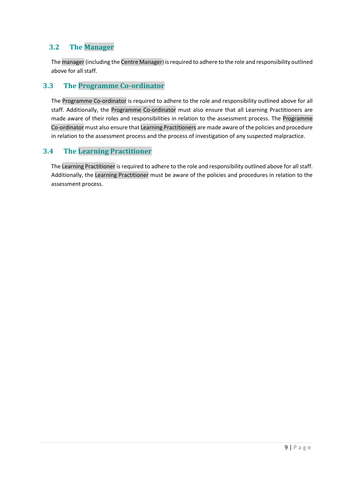### <span id="page-8-0"></span>**3.2 The Manager**

The manager (including the Centre Manager) is required to adhere to the role and responsibility outlined above for all staff.

### <span id="page-8-1"></span>**3.3 The Programme Co-ordinator**

The Programme Co-ordinator is required to adhere to the role and responsibility outlined above for all staff. Additionally, the Programme Co-ordinator must also ensure that all Learning Practitioners are made aware of their roles and responsibilities in relation to the assessment process. The Programme Co-ordinator must also ensure that Learning Practitioners are made aware of the policies and procedure in relation to the assessment process and the process of investigation of any suspected malpractice.

### <span id="page-8-2"></span>**3.4 The Learning Practitioner**

The Learning Practitioner is required to adhere to the role and responsibility outlined above for all staff. Additionally, the Learning Practitioner must be aware of the policies and procedures in relation to the assessment process.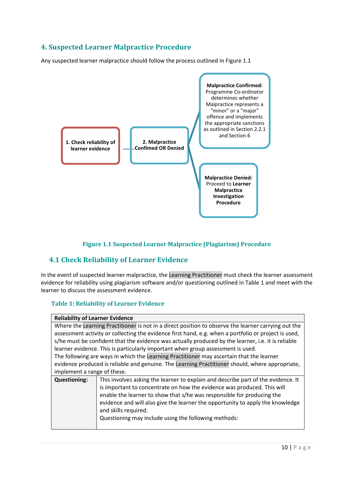### <span id="page-9-0"></span>**4. Suspected Learner Malpractice Procedure**

Any suspected learner malpractice should follow the process outlined in Figure 1.1



#### **Figure 1.1 Suspected Learner Malpractice (Plagiarism) Procedure**

### <span id="page-9-2"></span><span id="page-9-1"></span>**4.1 Check Reliability of Learner Evidence**

In the event of suspected learner malpractice, the Learning Practitioner must check the learner assessment evidence for reliability using plagiarism software and/or questioning outlined in Table 1 and meet with the learner to discuss the assessment evidence.

#### <span id="page-9-3"></span>**Table 1: Reliability of Learner Evidence**

| <b>Reliability of Learner Evidence</b>                                                              |                                                                                                      |  |  |  |
|-----------------------------------------------------------------------------------------------------|------------------------------------------------------------------------------------------------------|--|--|--|
| Where the Learning Practitioner is not in a direct position to observe the learner carrying out the |                                                                                                      |  |  |  |
|                                                                                                     | assessment activity or collecting the evidence first hand, e.g. when a portfolio or project is used, |  |  |  |
|                                                                                                     | s/he must be confident that the evidence was actually produced by the learner, i.e. it is reliable   |  |  |  |
| learner evidence. This is particularly important when group assessment is used.                     |                                                                                                      |  |  |  |
| The following are ways in which the Learning Practitioner may ascertain that the learner            |                                                                                                      |  |  |  |
|                                                                                                     | evidence produced is reliable and genuine. The Learning Practitioner should, where appropriate,      |  |  |  |
| implement a range of these.                                                                         |                                                                                                      |  |  |  |
| <b>Questioning:</b>                                                                                 | This involves asking the learner to explain and describe part of the evidence. It                    |  |  |  |
| is important to concentrate on how the evidence was produced. This will                             |                                                                                                      |  |  |  |
| enable the learner to show that s/he was responsible for producing the                              |                                                                                                      |  |  |  |
|                                                                                                     | evidence and will also give the learner the opportunity to apply the knowledge                       |  |  |  |
| and skills required.                                                                                |                                                                                                      |  |  |  |
|                                                                                                     | Questioning may include using the following methods:                                                 |  |  |  |
|                                                                                                     |                                                                                                      |  |  |  |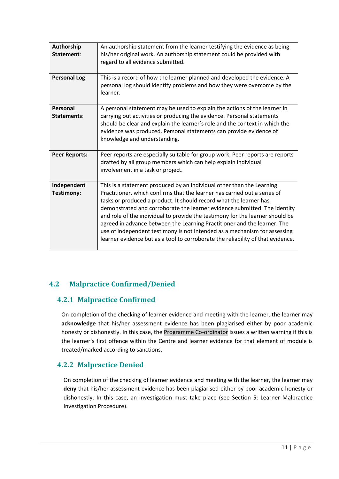| Authorship<br>Statement:       | An authorship statement from the learner testifying the evidence as being<br>his/her original work. An authorship statement could be provided with<br>regard to all evidence submitted.                                                                                                                                                                                                                                                                                                                                                                                                                                            |
|--------------------------------|------------------------------------------------------------------------------------------------------------------------------------------------------------------------------------------------------------------------------------------------------------------------------------------------------------------------------------------------------------------------------------------------------------------------------------------------------------------------------------------------------------------------------------------------------------------------------------------------------------------------------------|
| <b>Personal Log:</b>           | This is a record of how the learner planned and developed the evidence. A<br>personal log should identify problems and how they were overcome by the<br>learner.                                                                                                                                                                                                                                                                                                                                                                                                                                                                   |
| <b>Personal</b><br>Statements: | A personal statement may be used to explain the actions of the learner in<br>carrying out activities or producing the evidence. Personal statements<br>should be clear and explain the learner's role and the context in which the<br>evidence was produced. Personal statements can provide evidence of<br>knowledge and understanding.                                                                                                                                                                                                                                                                                           |
| <b>Peer Reports:</b>           | Peer reports are especially suitable for group work. Peer reports are reports<br>drafted by all group members which can help explain individual<br>involvement in a task or project.                                                                                                                                                                                                                                                                                                                                                                                                                                               |
| Independent<br>Testimony:      | This is a statement produced by an individual other than the Learning<br>Practitioner, which confirms that the learner has carried out a series of<br>tasks or produced a product. It should record what the learner has<br>demonstrated and corroborate the learner evidence submitted. The identity<br>and role of the individual to provide the testimony for the learner should be<br>agreed in advance between the Learning Practitioner and the learner. The<br>use of independent testimony is not intended as a mechanism for assessing<br>learner evidence but as a tool to corroborate the reliability of that evidence. |

### <span id="page-10-0"></span>**4.2 Malpractice Confirmed/Denied**

### <span id="page-10-1"></span>**4.2.1 Malpractice Confirmed**

On completion of the checking of learner evidence and meeting with the learner, the learner may **acknowledge** that his/her assessment evidence has been plagiarised either by poor academic honesty or dishonestly. In this case, the Programme Co-ordinator issues a written warning if this is the learner's first offence within the Centre and learner evidence for that element of module is treated/marked according to sanctions.

### <span id="page-10-2"></span>**4.2.2 Malpractice Denied**

On completion of the checking of learner evidence and meeting with the learner, the learner may **deny** that his/her assessment evidence has been plagiarised either by poor academic honesty or dishonestly. In this case, an investigation must take place (see Section 5: Learner Malpractice Investigation Procedure).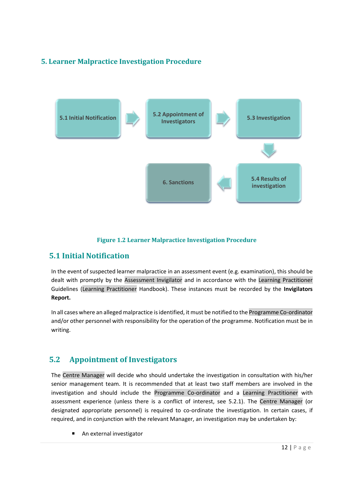### <span id="page-11-0"></span>**5. Learner Malpractice Investigation Procedure**



#### **Figure 1.2 Learner Malpractice Investigation Procedure**

### <span id="page-11-3"></span><span id="page-11-1"></span>**5.1 Initial Notification**

In the event of suspected learner malpractice in an assessment event (e.g. examination), this should be dealt with promptly by the Assessment Invigilator and in accordance with the Learning Practitioner Guidelines (Learning Practitioner Handbook). These instances must be recorded by the **Invigilators Report.**

In all cases where an alleged malpractice is identified, it must be notified to the Programme Co-ordinator and/or other personnel with responsibility for the operation of the programme. Notification must be in writing.

### <span id="page-11-2"></span>**5.2 Appointment of Investigators**

The Centre Manager will decide who should undertake the investigation in consultation with his/her senior management team. It is recommended that at least two staff members are involved in the investigation and should include the Programme Co-ordinator and a Learning Practitioner with assessment experience (unless there is a conflict of interest, see 5.2.1). The Centre Manager (or designated appropriate personnel) is required to co-ordinate the investigation. In certain cases, if required, and in conjunction with the relevant Manager, an investigation may be undertaken by:

An external investigator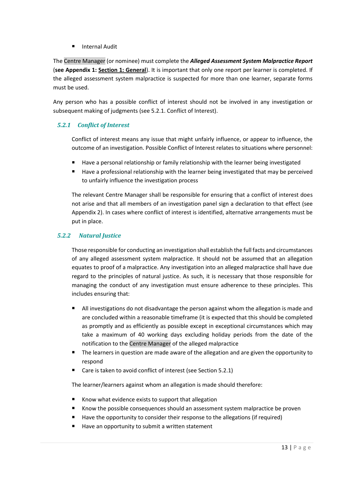■ Internal Audit

The Centre Manager (or nominee) must complete the *Alleged Assessment System Malpractice Report*  (**see Appendix 1: Section 1: General**). It is important that only one report per learner is completed. If the alleged assessment system malpractice is suspected for more than one learner, separate forms must be used.

Any person who has a possible conflict of interest should not be involved in any investigation or subsequent making of judgments (see 5.2.1. Conflict of Interest).

### <span id="page-12-0"></span>*5.2.1 Conflict of Interest*

Conflict of interest means any issue that might unfairly influence, or appear to influence, the outcome of an investigation. Possible Conflict of Interest relates to situations where personnel:

- Have a personal relationship or family relationship with the learner being investigated
- $\blacksquare$  Have a professional relationship with the learner being investigated that may be perceived to unfairly influence the investigation process

The relevant Centre Manager shall be responsible for ensuring that a conflict of interest does not arise and that all members of an investigation panel sign a declaration to that effect (see Appendix 2). In cases where conflict of interest is identified, alternative arrangements must be put in place.

#### *5.2.2 Natural Justice*

<span id="page-12-1"></span>Those responsible for conducting an investigation shall establish the full facts and circumstances of any alleged assessment system malpractice. It should not be assumed that an allegation equates to proof of a malpractice. Any investigation into an alleged malpractice shall have due regard to the principles of natural justice. As such, it is necessary that those responsible for managing the conduct of any investigation must ensure adherence to these principles. This includes ensuring that:

- All investigations do not disadvantage the person against whom the allegation is made and are concluded within a reasonable timeframe (it is expected that this should be completed as promptly and as efficiently as possible except in exceptional circumstances which may take a maximum of 40 working days excluding holiday periods from the date of the notification to the Centre Manager of the alleged malpractice
- The learners in question are made aware of the allegation and are given the opportunity to respond
- Care is taken to avoid conflict of interest (see Section 5.2.1)

The learner/learners against whom an allegation is made should therefore:

- Know what evidence exists to support that allegation
- Know the possible consequences should an assessment system malpractice be proven
- Have the opportunity to consider their response to the allegations (if required)
- Have an opportunity to submit a written statement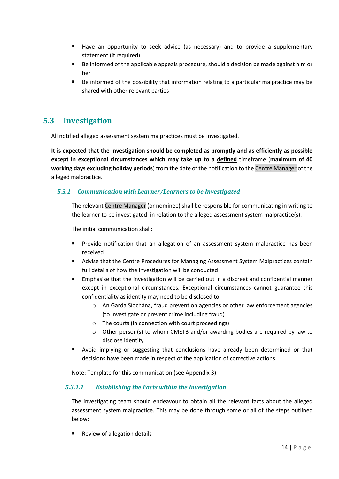- Have an opportunity to seek advice (as necessary) and to provide a supplementary statement (if required)
- Be informed of the applicable appeals procedure, should a decision be made against him or her
- Be informed of the possibility that information relating to a particular malpractice may be shared with other relevant parties

### <span id="page-13-0"></span>**5.3 Investigation**

All notified alleged assessment system malpractices must be investigated.

**It is expected that the investigation should be completed as promptly and as efficiently as possible except in exceptional circumstances which may take up to a defined** timeframe (**maximum of 40 working days excluding holiday periods**) from the date of the notification to the Centre Manager of the alleged malpractice.

#### <span id="page-13-1"></span>*5.3.1 Communication with Learner/Learners to be Investigated*

The relevant Centre Manager (or nominee) shall be responsible for communicating in writing to the learner to be investigated, in relation to the alleged assessment system malpractice(s).

The initial communication shall:

- **•** Provide notification that an allegation of an assessment system malpractice has been received
- Advise that the Centre Procedures for Managing Assessment System Malpractices contain full details of how the investigation will be conducted
- Emphasise that the investigation will be carried out in a discreet and confidential manner except in exceptional circumstances. Exceptional circumstances cannot guarantee this confidentiality as identity may need to be disclosed to:
	- o An Garda Síochána, fraud prevention agencies or other law enforcement agencies (to investigate or prevent crime including fraud)
	- o The courts (in connection with court proceedings)
	- o Other person(s) to whom CMETB and/or awarding bodies are required by law to disclose identity
- Avoid implying or suggesting that conclusions have already been determined or that decisions have been made in respect of the application of corrective actions

Note: Template for this communication (see Appendix 3).

#### <span id="page-13-2"></span>*5.3.1.1 Establishing the Facts within the Investigation*

The investigating team should endeavour to obtain all the relevant facts about the alleged assessment system malpractice. This may be done through some or all of the steps outlined below:

Review of allegation details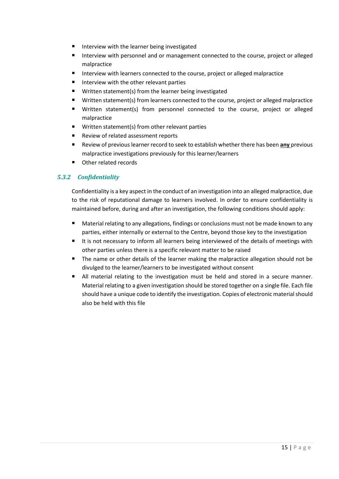- Interview with the learner being investigated
- Interview with personnel and or management connected to the course, project or alleged malpractice
- Interview with learners connected to the course, project or alleged malpractice
- Interview with the other relevant parties
- Written statement(s) from the learner being investigated
- Written statement(s) from learners connected to the course, project or alleged malpractice
- Written statement(s) from personnel connected to the course, project or alleged malpractice
- Written statement(s) from other relevant parties
- Review of related assessment reports
- Review of previous learner record to seek to establish whether there has been any previous malpractice investigations previously for this learner/learners
- Other related records

#### <span id="page-14-0"></span>*5.3.2 Confidentiality*

Confidentiality is a key aspect in the conduct of an investigation into an alleged malpractice, due to the risk of reputational damage to learners involved. In order to ensure confidentiality is maintained before, during and after an investigation, the following conditions should apply:

- Material relating to any allegations, findings or conclusions must not be made known to any parties, either internally or external to the Centre, beyond those key to the investigation
- It is not necessary to inform all learners being interviewed of the details of meetings with other parties unless there is a specific relevant matter to be raised
- The name or other details of the learner making the malpractice allegation should not be divulged to the learner/learners to be investigated without consent
- <span id="page-14-1"></span>■ All material relating to the investigation must be held and stored in a secure manner. Material relating to a given investigation should be stored together on a single file. Each file should have a unique code to identify the investigation. Copies of electronic material should also be held with this file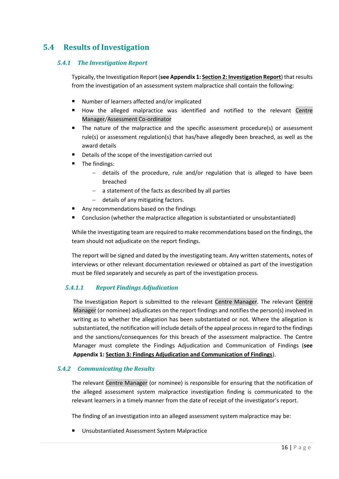### <span id="page-15-0"></span>**5.4 Results of Investigation**

#### *5.4.1 The Investigation Report*

Typically, the Investigation Report (**see Appendix 1: Section 2: Investigation Report**) that results from the investigation of an assessment system malpractice shall contain the following:

- Number of learners affected and/or implicated
- How the alleged malpractice was identified and notified to the relevant Centre Manager/Assessment Co-ordinator
- The nature of the malpractice and the specific assessment procedure(s) or assessment rule(s) or assessment regulation(s) that has/have allegedly been breached, as well as the award details
- Details of the scope of the investigation carried out
- The findings:
	- − details of the procedure, rule and/or regulation that is alleged to have been breached
	- − a statement of the facts as described by all parties
	- − details of any mitigating factors.
- Any recommendations based on the findings
- Conclusion (whether the malpractice allegation is substantiated or unsubstantiated)

While the investigating team are required to make recommendations based on the findings, the team should not adjudicate on the report findings.

The report will be signed and dated by the investigating team. Any written statements, notes of interviews or other relevant documentation reviewed or obtained as part of the investigation must be filed separately and securely as part of the investigation process.

#### <span id="page-15-1"></span>*5.4.1.1 Report Findings Adjudication*

The Investigation Report is submitted to the relevant Centre Manager. The relevant Centre Manager (or nominee) adjudicates on the report findings and notifies the person(s) involved in writing as to whether the allegation has been substantiated or not. Where the allegation is substantiated, the notification will include details of the appeal process in regard to the findings and the sanctions/consequences for this breach of the assessment malpractice. The Centre Manager must complete the Findings Adjudication and Communication of Findings (**see Appendix 1: Section 3: Findings Adjudication and Communication of Findings**).

#### <span id="page-15-2"></span>*5.4.2 Communicating the Results*

The relevant Centre Manager (or nominee) is responsible for ensuring that the notification of the alleged assessment system malpractice investigation finding is communicated to the relevant learners in a timely manner from the date of receipt of the investigator's report.

The finding of an investigation into an alleged assessment system malpractice may be:

■ Unsubstantiated Assessment System Malpractice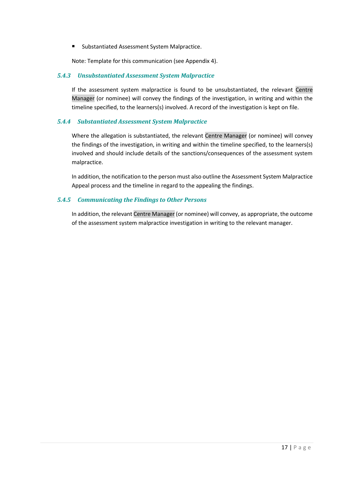■ Substantiated Assessment System Malpractice.

Note: Template for this communication (see Appendix 4).

#### <span id="page-16-0"></span>*5.4.3 Unsubstantiated Assessment System Malpractice*

If the assessment system malpractice is found to be unsubstantiated, the relevant Centre Manager (or nominee) will convey the findings of the investigation, in writing and within the timeline specified, to the learners(s) involved. A record of the investigation is kept on file.

#### <span id="page-16-1"></span>*5.4.4 Substantiated Assessment System Malpractice*

Where the allegation is substantiated, the relevant Centre Manager (or nominee) will convey the findings of the investigation, in writing and within the timeline specified, to the learners(s) involved and should include details of the sanctions/consequences of the assessment system malpractice.

In addition, the notification to the person must also outline the Assessment System Malpractice Appeal process and the timeline in regard to the appealing the findings.

#### <span id="page-16-2"></span>*5.4.5 Communicating the Findings to Other Persons*

In addition, the relevant Centre Manager (or nominee) will convey, as appropriate, the outcome of the assessment system malpractice investigation in writing to the relevant manager.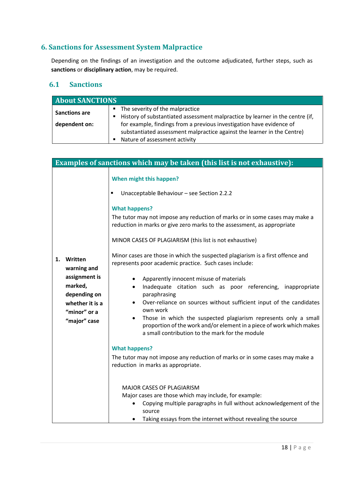### <span id="page-17-0"></span>**6. Sanctions for Assessment System Malpractice**

Depending on the findings of an investigation and the outcome adjudicated, further steps, such as **sanctions** or **disciplinary action**, may be required.

### <span id="page-17-1"></span>**6.1 Sanctions**

| <b>About SANCTIONS</b> |                                                                               |  |  |
|------------------------|-------------------------------------------------------------------------------|--|--|
| <b>Sanctions are</b>   | The severity of the malpractice                                               |  |  |
|                        | History of substantiated assessment malpractice by learner in the centre (if, |  |  |
| dependent on:          | for example, findings from a previous investigation have evidence of          |  |  |
|                        | substantiated assessment malpractice against the learner in the Centre)       |  |  |
|                        | Nature of assessment activity                                                 |  |  |

| Examples of sanctions which may be taken (this list is not exhaustive):                                                     |                                                                                                                                                                                                                                                                                                                                                                                                                                                                                                                                                                               |  |  |
|-----------------------------------------------------------------------------------------------------------------------------|-------------------------------------------------------------------------------------------------------------------------------------------------------------------------------------------------------------------------------------------------------------------------------------------------------------------------------------------------------------------------------------------------------------------------------------------------------------------------------------------------------------------------------------------------------------------------------|--|--|
|                                                                                                                             | When might this happen?                                                                                                                                                                                                                                                                                                                                                                                                                                                                                                                                                       |  |  |
|                                                                                                                             | Unacceptable Behaviour - see Section 2.2.2                                                                                                                                                                                                                                                                                                                                                                                                                                                                                                                                    |  |  |
|                                                                                                                             | <b>What happens?</b><br>The tutor may not impose any reduction of marks or in some cases may make a<br>reduction in marks or give zero marks to the assessment, as appropriate<br>MINOR CASES OF PLAGIARISM (this list is not exhaustive)                                                                                                                                                                                                                                                                                                                                     |  |  |
| Written<br>1.<br>warning and<br>assignment is<br>marked,<br>depending on<br>whether it is a<br>"minor" or a<br>"major" case | Minor cases are those in which the suspected plagiarism is a first offence and<br>represents poor academic practice. Such cases include:<br>Apparently innocent misuse of materials<br>Inadequate citation such as poor referencing, inappropriate<br>$\bullet$<br>paraphrasing<br>Over-reliance on sources without sufficient input of the candidates<br>own work<br>Those in which the suspected plagiarism represents only a small<br>$\bullet$<br>proportion of the work and/or element in a piece of work which makes<br>a small contribution to the mark for the module |  |  |
|                                                                                                                             | <b>What happens?</b><br>The tutor may not impose any reduction of marks or in some cases may make a<br>reduction in marks as appropriate.<br>MAJOR CASES OF PLAGIARISM<br>Major cases are those which may include, for example:<br>Copying multiple paragraphs in full without acknowledgement of the<br>source                                                                                                                                                                                                                                                               |  |  |
|                                                                                                                             | Taking essays from the internet without revealing the source                                                                                                                                                                                                                                                                                                                                                                                                                                                                                                                  |  |  |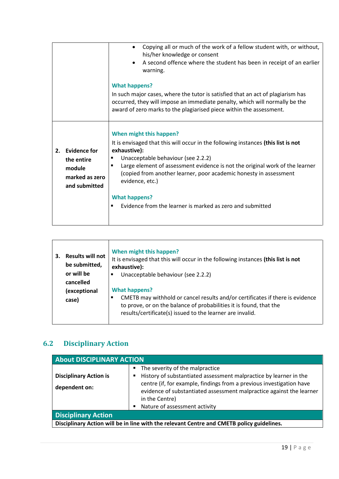|                                                                    |                | Copying all or much of the work of a fellow student with, or without,<br>$\bullet$<br>his/her knowledge or consent<br>A second offence where the student has been in receipt of an earlier<br>$\bullet$                                                                                                                                                                                                                                        |
|--------------------------------------------------------------------|----------------|------------------------------------------------------------------------------------------------------------------------------------------------------------------------------------------------------------------------------------------------------------------------------------------------------------------------------------------------------------------------------------------------------------------------------------------------|
|                                                                    |                | warning.<br><b>What happens?</b><br>In such major cases, where the tutor is satisfied that an act of plagiarism has<br>occurred, they will impose an immediate penalty, which will normally be the<br>award of zero marks to the plagiarised piece within the assessment.                                                                                                                                                                      |
| <b>Evidence for</b><br>2.<br>the entire<br>module<br>and submitted | marked as zero | When might this happen?<br>It is envisaged that this will occur in the following instances (this list is not<br>exhaustive):<br>Unacceptable behaviour (see 2.2.2)<br>п<br>Large element of assessment evidence is not the original work of the learner<br>٠<br>(copied from another learner, poor academic honesty in assessment<br>evidence, etc.)<br><b>What happens?</b><br>Evidence from the learner is marked as zero and submitted<br>٠ |

| З. | <b>Results will not</b><br>be submitted,<br>or will be<br>cancelled | When might this happen?<br>It is envisaged that this will occur in the following instances (this list is not<br>exhaustive):<br>Unacceptable behaviour (see 2.2.2)                                                                       |
|----|---------------------------------------------------------------------|------------------------------------------------------------------------------------------------------------------------------------------------------------------------------------------------------------------------------------------|
|    | (exceptional<br>case)                                               | <b>What happens?</b><br>CMETB may withhold or cancel results and/or certificates if there is evidence<br>to prove, or on the balance of probabilities it is found, that the<br>results/certificate(s) issued to the learner are invalid. |

### <span id="page-18-0"></span>**6.2 Disciplinary Action**

| <b>About DISCIPLINARY ACTION</b>                                                          |                                                                                                                                                                                                                                                                                                                   |  |  |
|-------------------------------------------------------------------------------------------|-------------------------------------------------------------------------------------------------------------------------------------------------------------------------------------------------------------------------------------------------------------------------------------------------------------------|--|--|
| <b>Disciplinary Action is</b><br>dependent on:                                            | The severity of the malpractice<br>٠<br>History of substantiated assessment malpractice by learner in the<br>centre (if, for example, findings from a previous investigation have<br>evidence of substantiated assessment malpractice against the learner<br>in the Centre)<br>Nature of assessment activity<br>п |  |  |
| <b>Disciplinary Action</b>                                                                |                                                                                                                                                                                                                                                                                                                   |  |  |
| Disciplinary Action will be in line with the relevant Centre and CMETB policy guidelines. |                                                                                                                                                                                                                                                                                                                   |  |  |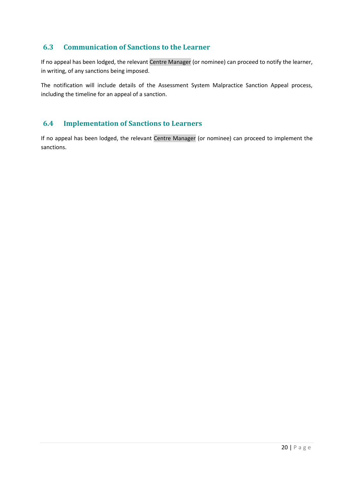### <span id="page-19-0"></span>**6.3 Communication of Sanctions to the Learner**

If no appeal has been lodged, the relevant Centre Manager (or nominee) can proceed to notify the learner, in writing, of any sanctions being imposed.

The notification will include details of the Assessment System Malpractice Sanction Appeal process, including the timeline for an appeal of a sanction.

### <span id="page-19-1"></span>**6.4 Implementation of Sanctions to Learners**

If no appeal has been lodged, the relevant Centre Manager (or nominee) can proceed to implement the sanctions.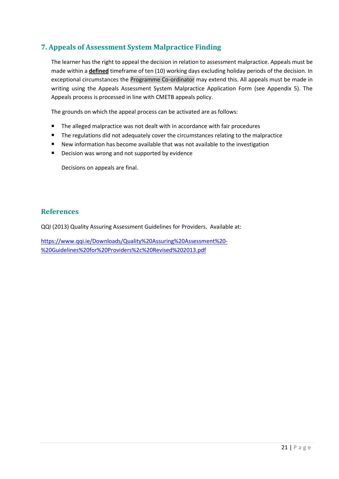### <span id="page-20-0"></span>**7. Appeals of Assessment System Malpractice Finding**

The learner has the right to appeal the decision in relation to assessment malpractice. Appeals must be made within a **defined** timeframe of ten (10) working days excluding holiday periods of the decision. In exceptional circumstances the Programme Co-ordinator may extend this. All appeals must be made in writing using the Appeals Assessment System Malpractice Application Form (see Appendix 5). The Appeals process is processed in line with CMETB appeals policy.

The grounds on which the appeal process can be activated are as follows:

- The alleged malpractice was not dealt with in accordance with fair procedures
- The regulations did not adequately cover the circumstances relating to the malpractice
- New information has become available that was not available to the investigation
- Decision was wrong and not supported by evidence

Decisions on appeals are final.

#### **References**

QQI (2013) Quality Assuring Assessment Guidelines for Providers. Available at:

[https://www.qqi.ie/Downloads/Quality%20Assuring%20Assessment%20-](https://www.qqi.ie/Downloads/Quality%20Assuring%20Assessment%20-%20Guidelines%20for%20Providers%2c%20Revised%202013.pdf) [%20Guidelines%20for%20Providers%2c%20Revised%202013.pdf](https://www.qqi.ie/Downloads/Quality%20Assuring%20Assessment%20-%20Guidelines%20for%20Providers%2c%20Revised%202013.pdf)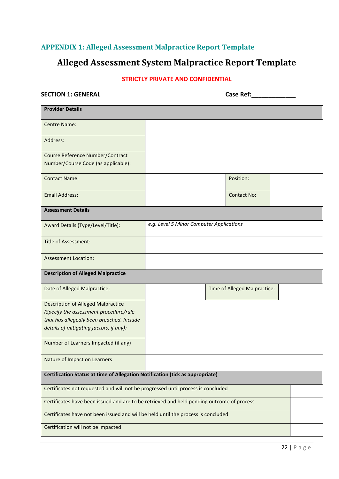### <span id="page-21-0"></span>**APPENDIX 1: Alleged Assessment Malpractice Report Template**

## **Alleged Assessment System Malpractice Report Template**

### **STRICTLY PRIVATE AND CONFIDENTIAL**

**SECTION 1: GENERAL Case Ref:\_\_\_\_\_\_\_\_\_\_\_\_\_**

| <b>Provider Details</b>                                                                   |                                          |                              |  |  |
|-------------------------------------------------------------------------------------------|------------------------------------------|------------------------------|--|--|
| <b>Centre Name:</b>                                                                       |                                          |                              |  |  |
| Address:                                                                                  |                                          |                              |  |  |
| Course Reference Number/Contract                                                          |                                          |                              |  |  |
| Number/Course Code (as applicable):                                                       |                                          |                              |  |  |
| <b>Contact Name:</b>                                                                      |                                          | Position:                    |  |  |
| <b>Email Address:</b>                                                                     |                                          | <b>Contact No:</b>           |  |  |
| <b>Assessment Details</b>                                                                 |                                          |                              |  |  |
| Award Details (Type/Level/Title):                                                         | e.g. Level 5 Minor Computer Applications |                              |  |  |
| <b>Title of Assessment:</b>                                                               |                                          |                              |  |  |
| <b>Assessment Location:</b>                                                               |                                          |                              |  |  |
| <b>Description of Alleged Malpractice</b>                                                 |                                          |                              |  |  |
| Date of Alleged Malpractice:                                                              |                                          | Time of Alleged Malpractice: |  |  |
| <b>Description of Alleged Malpractice</b>                                                 |                                          |                              |  |  |
| (Specify the assessment procedure/rule                                                    |                                          |                              |  |  |
| that has allegedly been breached. Include                                                 |                                          |                              |  |  |
| details of mitigating factors, if any):                                                   |                                          |                              |  |  |
| Number of Learners Impacted (if any)                                                      |                                          |                              |  |  |
| Nature of Impact on Learners                                                              |                                          |                              |  |  |
| Certification Status at time of Allegation Notification (tick as appropriate)             |                                          |                              |  |  |
| Certificates not requested and will not be progressed until process is concluded          |                                          |                              |  |  |
| Certificates have been issued and are to be retrieved and held pending outcome of process |                                          |                              |  |  |
| Certificates have not been issued and will be held until the process is concluded         |                                          |                              |  |  |
| Certification will not be impacted                                                        |                                          |                              |  |  |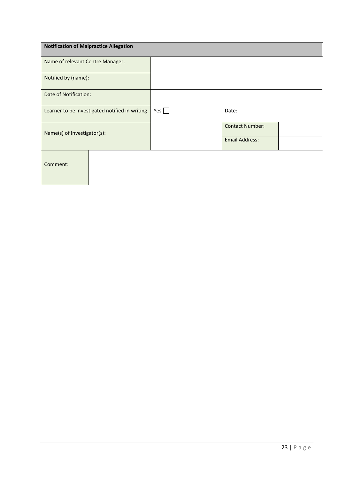| <b>Notification of Malpractice Allegation</b>  |  |     |                        |  |
|------------------------------------------------|--|-----|------------------------|--|
| Name of relevant Centre Manager:               |  |     |                        |  |
| Notified by (name):                            |  |     |                        |  |
| Date of Notification:                          |  |     |                        |  |
| Learner to be investigated notified in writing |  | Yes | Date:                  |  |
| Name(s) of Investigator(s):                    |  |     | <b>Contact Number:</b> |  |
|                                                |  |     | <b>Email Address:</b>  |  |
| Comment:                                       |  |     |                        |  |
|                                                |  |     |                        |  |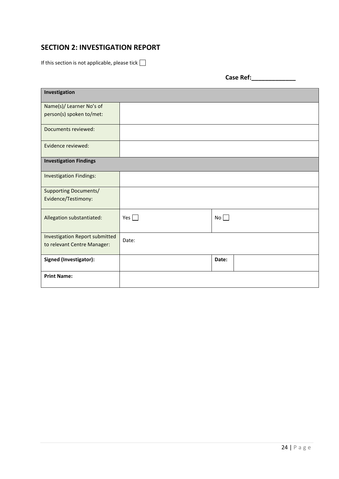### **SECTION 2: INVESTIGATION REPORT**

If this section is not applicable, please tick  $\Box$ 

**Case Ref:\_\_\_\_\_\_\_\_\_\_\_\_\_**

| Investigation                                                        |            |       |
|----------------------------------------------------------------------|------------|-------|
| Name(s)/ Learner No's of                                             |            |       |
| person(s) spoken to/met:                                             |            |       |
| Documents reviewed:                                                  |            |       |
| Evidence reviewed:                                                   |            |       |
| <b>Investigation Findings</b>                                        |            |       |
| <b>Investigation Findings:</b>                                       |            |       |
| <b>Supporting Documents/</b>                                         |            |       |
| Evidence/Testimony:                                                  |            |       |
| Allegation substantiated:                                            | Yes $\Box$ | No    |
| <b>Investigation Report submitted</b><br>to relevant Centre Manager: | Date:      |       |
| Signed (Investigator):                                               |            | Date: |
| <b>Print Name:</b>                                                   |            |       |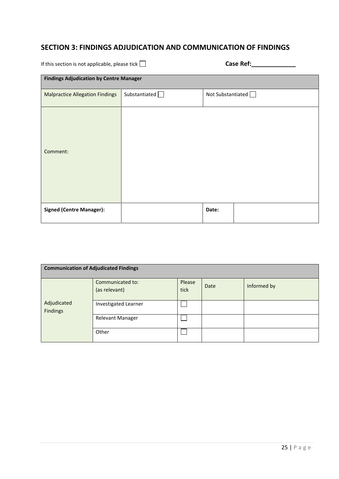### **SECTION 3: FINDINGS ADJUDICATION AND COMMUNICATION OF FINDINGS**

If this section is not applicable, please tick  $\Box$ 

| <b>Case Ref:</b> |  |  |  |  |  |
|------------------|--|--|--|--|--|
|                  |  |  |  |  |  |

| <b>Findings Adjudication by Centre Manager</b> |                 |                   |
|------------------------------------------------|-----------------|-------------------|
| <b>Malpractice Allegation Findings</b>         | Substantiated D | Not Substantiated |
| Comment:                                       |                 |                   |
| <b>Signed (Centre Manager):</b>                |                 | Date:             |

| <b>Communication of Adjudicated Findings</b> |                                   |                |      |             |
|----------------------------------------------|-----------------------------------|----------------|------|-------------|
|                                              | Communicated to:<br>(as relevant) | Please<br>tick | Date | Informed by |
| Adjudicated<br>Findings                      | <b>Investigated Learner</b>       |                |      |             |
|                                              | Relevant Manager                  |                |      |             |
|                                              | Other                             |                |      |             |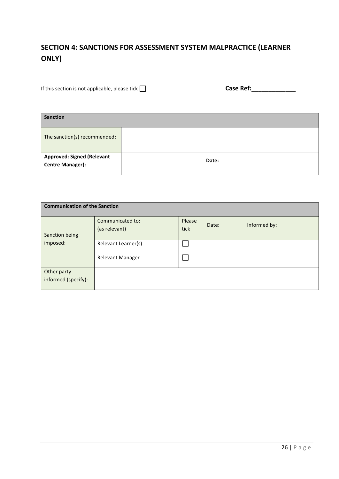### **SECTION 4: SANCTIONS FOR ASSESSMENT SYSTEM MALPRACTICE (LEARNER ONLY)**

If this section is not applicable, please tick  $\Box$ 

| <b>Sanction</b>                                              |  |       |
|--------------------------------------------------------------|--|-------|
| The sanction(s) recommended:                                 |  |       |
| <b>Approved: Signed (Relevant</b><br><b>Centre Manager):</b> |  | Date: |

| <b>Communication of the Sanction</b> |                                   |                |       |              |
|--------------------------------------|-----------------------------------|----------------|-------|--------------|
| Sanction being                       | Communicated to:<br>(as relevant) | Please<br>tick | Date: | Informed by: |
| imposed:                             | Relevant Learner(s)               |                |       |              |
|                                      | <b>Relevant Manager</b>           |                |       |              |
| Other party<br>informed (specify):   |                                   |                |       |              |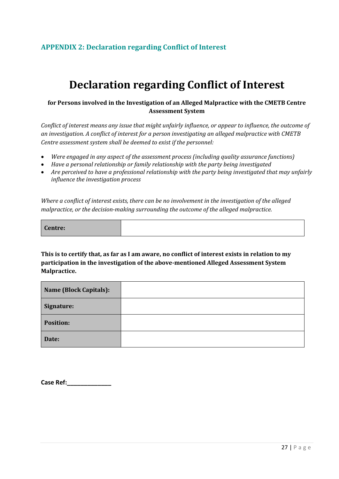### <span id="page-26-0"></span>**APPENDIX 2: Declaration regarding Conflict of Interest**

## **Declaration regarding Conflict of Interest**

#### **for Persons involved in the Investigation of an Alleged Malpractice with the CMETB Centre Assessment System**

*Conflict of interest means any issue that might unfairly influence, or appear to influence, the outcome of an investigation. A conflict of interest for a person investigating an alleged malpractice with CMETB Centre assessment system shall be deemed to exist if the personnel:*

- *Were engaged in any aspect of the assessment process (including quality assurance functions)*
- *Have a personal relationship or family relationship with the party being investigated*
- *Are perceived to have a professional relationship with the party being investigated that may unfairly influence the investigation process*

*Where a conflict of interest exists, there can be no involvement in the investigation of the alleged malpractice, or the decision-making surrounding the outcome of the alleged malpractice.*

**This is to certify that, as far as I am aware, no conflict of interest exists in relation to my participation in the investigation of the above-mentioned Alleged Assessment System Malpractice.** 

| <b>Name (Block Capitals):</b> |  |
|-------------------------------|--|
| Signature:                    |  |
| <b>Position:</b>              |  |
| Date:                         |  |

**Case Ref:\_\_\_\_\_\_\_\_\_\_\_\_\_**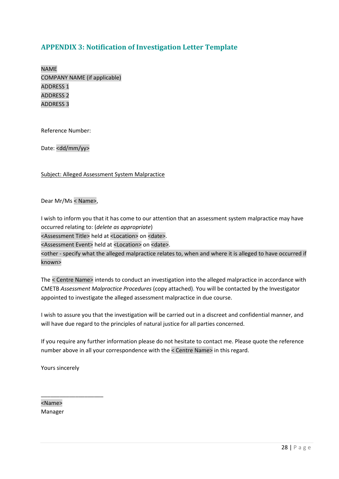### <span id="page-27-0"></span>**APPENDIX 3: Notification of Investigation Letter Template**

NAME COMPANY NAME (if applicable) ADDRESS 1 ADDRESS 2 ADDRESS 3

Reference Number:

Date: <dd/mm/yy>

Subject: Alleged Assessment System Malpractice

Dear Mr/Ms < Name>,

I wish to inform you that it has come to our attention that an assessment system malpractice may have occurred relating to: (*delete as appropriate*)

<Assessment Title> held at <Location> on <date>.

<Assessment Event> held at <Location> on <date>.

<other - specify what the alleged malpractice relates to, when and where it is alleged to have occurred if known>

The < Centre Name> intends to conduct an investigation into the alleged malpractice in accordance with CMETB *Assessment Malpractice Procedures* (copy attached). You will be contacted by the Investigator appointed to investigate the alleged assessment malpractice in due course.

I wish to assure you that the investigation will be carried out in a discreet and confidential manner, and will have due regard to the principles of natural justice for all parties concerned.

If you require any further information please do not hesitate to contact me. Please quote the reference number above in all your correspondence with the < Centre Name> in this regard.

Yours sincerely

\_\_\_\_\_\_\_\_\_\_\_\_\_\_\_\_\_\_\_\_

<Name> Manager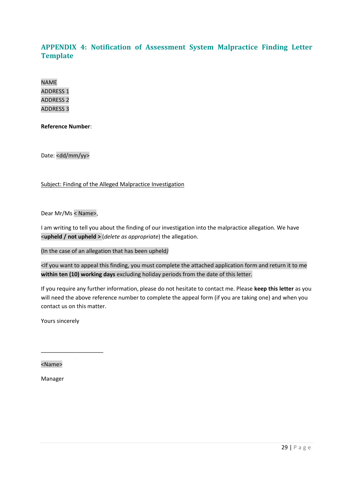### <span id="page-28-0"></span>**APPENDIX 4: Notification of Assessment System Malpractice Finding Letter Template**

NAME ADDRESS 1 ADDRESS 2 ADDRESS 3

**Reference Number**:

Date: <dd/mm/yy>

Subject: Finding of the Alleged Malpractice Investigation

Dear Mr/Ms < Name>,

I am writing to tell you about the finding of our investigation into the malpractice allegation. We have <**upheld / not upheld >** (*delete as appropriate*) the allegation.

(In the case of an allegation that has been upheld*)*

<If you want to appeal this finding, you must complete the attached application form and return it to me **within ten (10) working days** excluding holiday periods from the date of this letter.

If you require any further information, please do not hesitate to contact me. Please **keep this letter** as you will need the above reference number to complete the appeal form (if you are taking one) and when you contact us on this matter.

Yours sincerely

\_\_\_\_\_\_\_\_\_\_\_\_\_\_\_\_\_\_\_\_

<Name>

Manager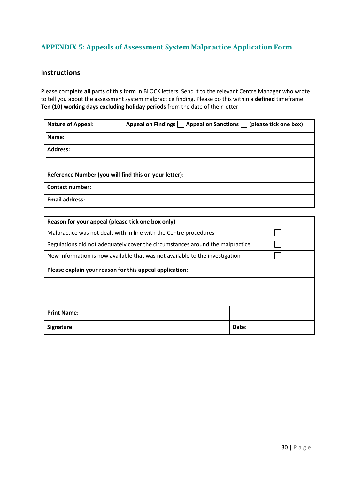### <span id="page-29-0"></span>**APPENDIX 5: Appeals of Assessment System Malpractice Application Form**

### **Instructions**

Please complete **all** parts of this form in BLOCK letters. Send it to the relevant Centre Manager who wrote to tell you about the assessment system malpractice finding. Please do this within a **defined** timeframe **Ten (10) working days excluding holiday periods** from the date of their letter.

| <b>Nature of Appeal:</b>                              | Appeal on Findings     Appeal on Sanctions     (please tick one box) |  |  |  |  |
|-------------------------------------------------------|----------------------------------------------------------------------|--|--|--|--|
| Name:                                                 |                                                                      |  |  |  |  |
| <b>Address:</b>                                       |                                                                      |  |  |  |  |
|                                                       |                                                                      |  |  |  |  |
| Reference Number (you will find this on your letter): |                                                                      |  |  |  |  |
| <b>Contact number:</b>                                |                                                                      |  |  |  |  |
| <b>Email address:</b>                                 |                                                                      |  |  |  |  |

| Reason for your appeal (please tick one box only)                             |       |  |
|-------------------------------------------------------------------------------|-------|--|
| Malpractice was not dealt with in line with the Centre procedures             |       |  |
| Regulations did not adequately cover the circumstances around the malpractice |       |  |
| New information is now available that was not available to the investigation  |       |  |
| Please explain your reason for this appeal application:                       |       |  |
|                                                                               |       |  |
|                                                                               |       |  |
| <b>Print Name:</b>                                                            |       |  |
| Signature:                                                                    | Date: |  |